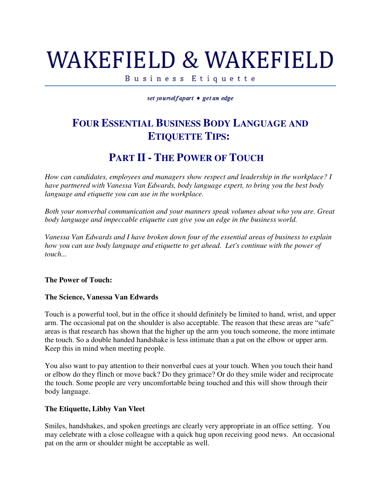# WAKEFIELD & WAKEFIELD

Business Etiquette

set yourselfapart • get an edge

## **FOUR ESSENTIAL BUSINESS BODY LANGUAGE AND ETIQUETTE TIPS:**

## **PART II - THE POWER OF TOUCH**

*How can candidates, employees and managers show respect and leadership in the workplace? I have partnered with Vanessa Van Edwards, body language expert, to bring you the best body language and etiquette you can use in the workplace.*

*Both your nonverbal communication and your manners speak volumes about who you are. Great body language and impeccable etiquette can give you an edge in the business world.* 

*Vanessa Van Edwards and I have broken down four of the essential areas of business to explain how you can use body language and etiquette to get ahead. Let's continue with the power of touch...*

#### **The Power of Touch:**

#### **The Science, Vanessa Van Edwards**

Touch is a powerful tool, but in the office it should definitely be limited to hand, wrist, and upper arm. The occasional pat on the shoulder is also acceptable. The reason that these areas are "safe" areas is that research has shown that the higher up the arm you touch someone, the more intimate the touch. So a double handed handshake is less intimate than a pat on the elbow or upper arm. Keep this in mind when meeting people.

You also want to pay attention to their nonverbal cues at your touch. When you touch their hand or elbow do they flinch or move back? Do they grimace? Or do they smile wider and reciprocate the touch. Some people are very uncomfortable being touched and this will show through their body language.

#### **The Etiquette, Libby Van Vleet**

Smiles, handshakes, and spoken greetings are clearly very appropriate in an office setting. You may celebrate with a close colleague with a quick hug upon receiving good news. An occasional pat on the arm or shoulder might be acceptable as well.